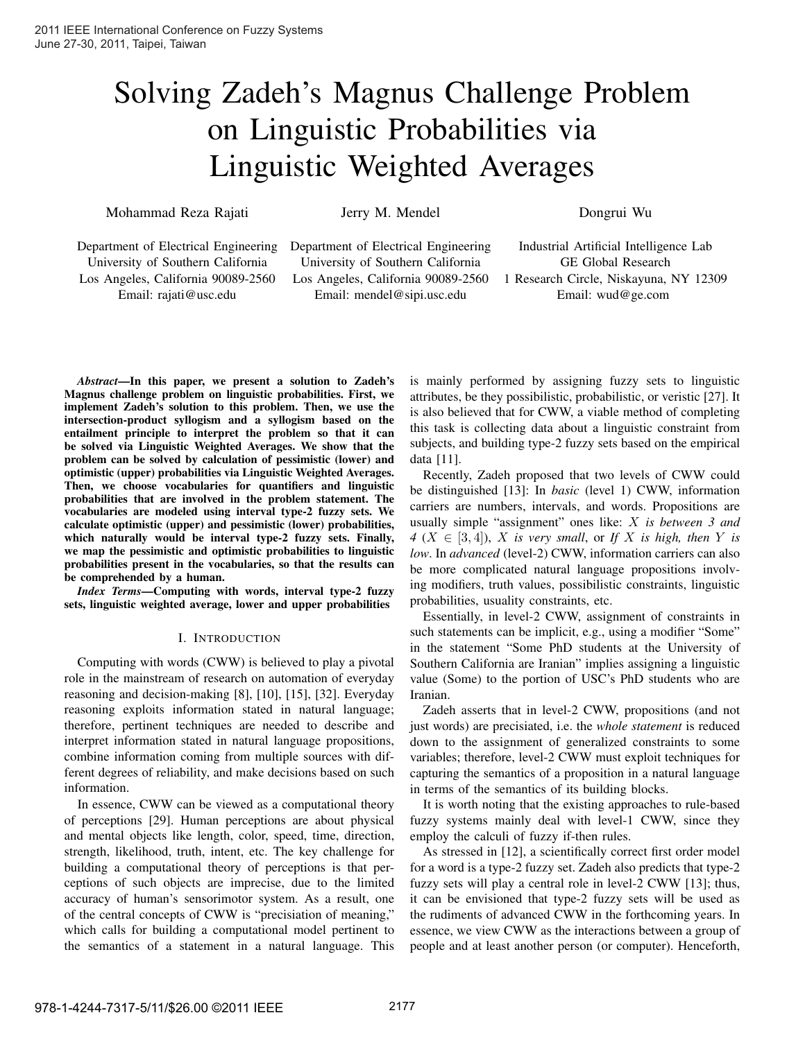# Solving Zadeh's Magnus Challenge Problem on Linguistic Probabilities via Linguistic Weighted Averages

Mohammad Reza Rajati

Jerry M. Mendel

Dongrui Wu

Department of Electrical Engineering University of Southern California Los Angeles, California 90089-2560 Email: rajati@usc.edu

Department of Electrical Engineering University of Southern California Los Angeles, California 90089-2560 Email: mendel@sipi.usc.edu

Industrial Artificial Intelligence Lab GE Global Research 1 Research Circle, Niskayuna, NY 12309 Email: wud@ge.com

*Abstract***—In this paper, we present a solution to Zadeh's Magnus challenge problem on linguistic probabilities. First, we implement Zadeh's solution to this problem. Then, we use the intersection-product syllogism and a syllogism based on the entailment principle to interpret the problem so that it can be solved via Linguistic Weighted Averages. We show that the problem can be solved by calculation of pessimistic (lower) and optimistic (upper) probabilities via Linguistic Weighted Averages. Then, we choose vocabularies for quantifiers and linguistic probabilities that are involved in the problem statement. The vocabularies are modeled using interval type-2 fuzzy sets. We calculate optimistic (upper) and pessimistic (lower) probabilities, which naturally would be interval type-2 fuzzy sets. Finally, we map the pessimistic and optimistic probabilities to linguistic probabilities present in the vocabularies, so that the results can be comprehended by a human.**

*Index Terms***—Computing with words, interval type-2 fuzzy sets, linguistic weighted average, lower and upper probabilities**

## I. INTRODUCTION

Computing with words (CWW) is believed to play a pivotal role in the mainstream of research on automation of everyday reasoning and decision-making [8], [10], [15], [32]. Everyday reasoning exploits information stated in natural language; therefore, pertinent techniques are needed to describe and interpret information stated in natural language propositions, combine information coming from multiple sources with different degrees of reliability, and make decisions based on such information.

In essence, CWW can be viewed as a computational theory of perceptions [29]. Human perceptions are about physical and mental objects like length, color, speed, time, direction, strength, likelihood, truth, intent, etc. The key challenge for building a computational theory of perceptions is that perceptions of such objects are imprecise, due to the limited accuracy of human's sensorimotor system. As a result, one of the central concepts of CWW is "precisiation of meaning," which calls for building a computational model pertinent to the semantics of a statement in a natural language. This is mainly performed by assigning fuzzy sets to linguistic attributes, be they possibilistic, probabilistic, or veristic [27]. It is also believed that for CWW, a viable method of completing this task is collecting data about a linguistic constraint from subjects, and building type-2 fuzzy sets based on the empirical data [11].

Recently, Zadeh proposed that two levels of CWW could be distinguished [13]: In *basic* (level 1) CWW, information carriers are numbers, intervals, and words. Propositions are usually simple "assignment" ones like: *is between 3 and*  $4$  ( $X \in [3, 4]$ ),  $X$  is very small, or If  $X$  is high, then  $Y$  is *low*. In *advanced* (level-2) CWW, information carriers can also be more complicated natural language propositions involving modifiers, truth values, possibilistic constraints, linguistic probabilities, usuality constraints, etc.

Essentially, in level-2 CWW, assignment of constraints in such statements can be implicit, e.g., using a modifier "Some" in the statement "Some PhD students at the University of Southern California are Iranian" implies assigning a linguistic value (Some) to the portion of USC's PhD students who are Iranian.

Zadeh asserts that in level-2 CWW, propositions (and not just words) are precisiated, i.e. the *whole statement* is reduced down to the assignment of generalized constraints to some variables; therefore, level-2 CWW must exploit techniques for capturing the semantics of a proposition in a natural language in terms of the semantics of its building blocks.

It is worth noting that the existing approaches to rule-based fuzzy systems mainly deal with level-1 CWW, since they employ the calculi of fuzzy if-then rules.

As stressed in [12], a scientifically correct first order model for a word is a type-2 fuzzy set. Zadeh also predicts that type-2 fuzzy sets will play a central role in level-2 CWW [13]; thus, it can be envisioned that type-2 fuzzy sets will be used as the rudiments of advanced CWW in the forthcoming years. In essence, we view CWW as the interactions between a group of people and at least another person (or computer). Henceforth,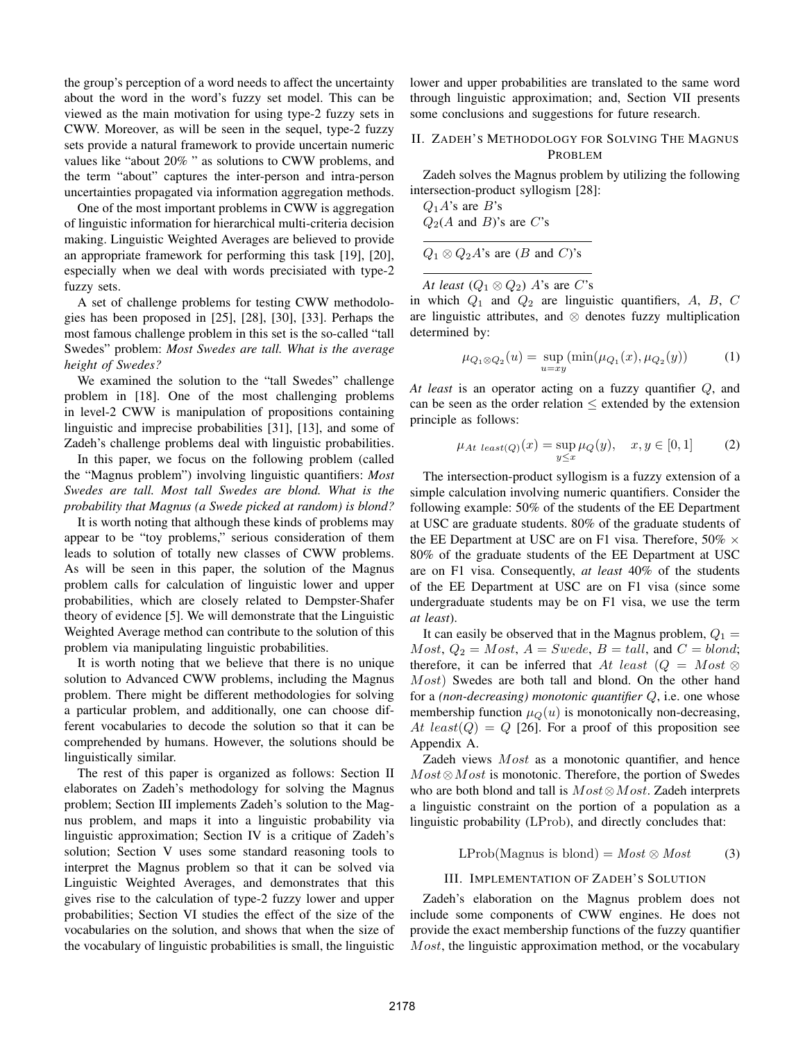the group's perception of a word needs to affect the uncertainty about the word in the word's fuzzy set model. This can be viewed as the main motivation for using type-2 fuzzy sets in CWW. Moreover, as will be seen in the sequel, type-2 fuzzy sets provide a natural framework to provide uncertain numeric values like "about 20% " as solutions to CWW problems, and the term "about" captures the inter-person and intra-person uncertainties propagated via information aggregation methods.

One of the most important problems in CWW is aggregation of linguistic information for hierarchical multi-criteria decision making. Linguistic Weighted Averages are believed to provide an appropriate framework for performing this task [19], [20], especially when we deal with words precisiated with type-2 fuzzy sets.

A set of challenge problems for testing CWW methodologies has been proposed in [25], [28], [30], [33]. Perhaps the most famous challenge problem in this set is the so-called "tall Swedes" problem: *Most Swedes are tall. What is the average height of Swedes?*

We examined the solution to the "tall Swedes" challenge problem in [18]. One of the most challenging problems in level-2 CWW is manipulation of propositions containing linguistic and imprecise probabilities [31], [13], and some of Zadeh's challenge problems deal with linguistic probabilities.

In this paper, we focus on the following problem (called the "Magnus problem") involving linguistic quantifiers: *Most Swedes are tall. Most tall Swedes are blond. What is the probability that Magnus (a Swede picked at random) is blond?*

It is worth noting that although these kinds of problems may appear to be "toy problems," serious consideration of them leads to solution of totally new classes of CWW problems. As will be seen in this paper, the solution of the Magnus problem calls for calculation of linguistic lower and upper probabilities, which are closely related to Dempster-Shafer theory of evidence [5]. We will demonstrate that the Linguistic Weighted Average method can contribute to the solution of this problem via manipulating linguistic probabilities.

It is worth noting that we believe that there is no unique solution to Advanced CWW problems, including the Magnus problem. There might be different methodologies for solving a particular problem, and additionally, one can choose different vocabularies to decode the solution so that it can be comprehended by humans. However, the solutions should be linguistically similar.

The rest of this paper is organized as follows: Section II elaborates on Zadeh's methodology for solving the Magnus problem; Section III implements Zadeh's solution to the Magnus problem, and maps it into a linguistic probability via linguistic approximation; Section IV is a critique of Zadeh's solution; Section V uses some standard reasoning tools to interpret the Magnus problem so that it can be solved via Linguistic Weighted Averages, and demonstrates that this gives rise to the calculation of type-2 fuzzy lower and upper probabilities; Section VI studies the effect of the size of the vocabularies on the solution, and shows that when the size of the vocabulary of linguistic probabilities is small, the linguistic lower and upper probabilities are translated to the same word through linguistic approximation; and, Section VII presents some conclusions and suggestions for future research.

# II. ZADEH'S METHODOLOGY FOR SOLVING THE MAGNUS PROBLEM

Zadeh solves the Magnus problem by utilizing the following intersection-product syllogism [28]:

| $Q_1 A$ 's are B's                     |  |
|----------------------------------------|--|
| $Q_2(A \text{ and } B)$ 's are C's     |  |
|                                        |  |
| $Q_1 \otimes Q_2 A$ 's are (B and C)'s |  |

*At least*  $(Q_1 \otimes Q_2)$  *A*'s are *C*'s

in which  $Q_1$  and  $Q_2$  are linguistic quantifiers, A, B, C are linguistic attributes, and ⊗ denotes fuzzy multiplication determined by:

$$
\mu_{Q_1 \otimes Q_2}(u) = \sup_{u = xy} (\min(\mu_{Q_1}(x), \mu_{Q_2}(y))
$$
 (1)

*At least* is an operator acting on a fuzzy quantifier Q, and can be seen as the order relation  $\leq$  extended by the extension principle as follows:

$$
\mu_{At \ least(Q)}(x) = \sup_{y \le x} \mu_Q(y), \quad x, y \in [0, 1]
$$
 (2)

The intersection-product syllogism is a fuzzy extension of a simple calculation involving numeric quantifiers. Consider the following example: 50% of the students of the EE Department at USC are graduate students. 80% of the graduate students of the EE Department at USC are on F1 visa. Therefore,  $50\% \times$ 80% of the graduate students of the EE Department at USC are on F1 visa. Consequently, *at least* 40% of the students of the EE Department at USC are on F1 visa (since some undergraduate students may be on F1 visa, we use the term *at least*).

It can easily be observed that in the Magnus problem,  $Q_1 =$  $Most, Q_2 = Most, A = Swede, B = tall, and C = blond;$ therefore, it can be inferred that At least  $(Q = Most \otimes$ Most) Swedes are both tall and blond. On the other hand for a *(non-decreasing)* monotonic quantifier Q, i.e. one whose membership function  $\mu_O(u)$  is monotonically non-decreasing, At least(Q) =  $Q$  [26]. For a proof of this proposition see Appendix A.

Zadeh views  $Most$  as a monotonic quantifier, and hence  $Most \otimes Most$  is monotonic. Therefore, the portion of Swedes who are both blond and tall is  $Most \otimes Most$ . Zadeh interprets a linguistic constraint on the portion of a population as a linguistic probability (LProb), and directly concludes that:

$$
LProb(Magnus is blond) = Most \otimes Most \tag{3}
$$

## III. IMPLEMENTATION OF ZADEH'S SOLUTION

Zadeh's elaboration on the Magnus problem does not include some components of CWW engines. He does not provide the exact membership functions of the fuzzy quantifier  $Most$ , the linguistic approximation method, or the vocabulary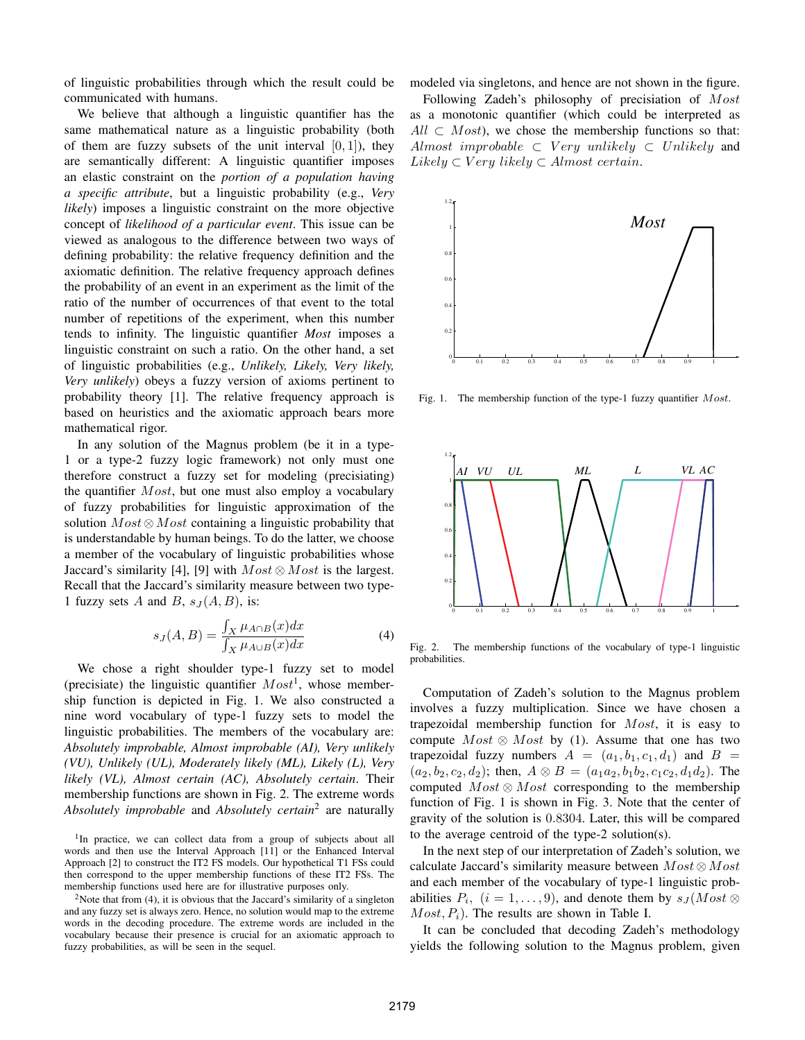of linguistic probabilities through which the result could be communicated with humans.

We believe that although a linguistic quantifier has the same mathematical nature as a linguistic probability (both of them are fuzzy subsets of the unit interval  $[0, 1]$ ), they are semantically different: A linguistic quantifier imposes an elastic constraint on the *portion of a population having a specific attribute*, but a linguistic probability (e.g., *Very likely*) imposes a linguistic constraint on the more objective concept of *likelihood of a particular event*. This issue can be viewed as analogous to the difference between two ways of defining probability: the relative frequency definition and the axiomatic definition. The relative frequency approach defines the probability of an event in an experiment as the limit of the ratio of the number of occurrences of that event to the total number of repetitions of the experiment, when this number tends to infinity. The linguistic quantifier *Most* imposes a linguistic constraint on such a ratio. On the other hand, a set of linguistic probabilities (e.g., *Unlikely, Likely, Very likely, Very unlikely*) obeys a fuzzy version of axioms pertinent to probability theory [1]. The relative frequency approach is based on heuristics and the axiomatic approach bears more mathematical rigor.

In any solution of the Magnus problem (be it in a type-1 or a type-2 fuzzy logic framework) not only must one therefore construct a fuzzy set for modeling (precisiating) the quantifier  $Most$ , but one must also employ a vocabulary of fuzzy probabilities for linguistic approximation of the solution  $Most \otimes Most$  containing a linguistic probability that is understandable by human beings. To do the latter, we choose a member of the vocabulary of linguistic probabilities whose Jaccard's similarity [4], [9] with  $Most \otimes Most$  is the largest. Recall that the Jaccard's similarity measure between two type-1 fuzzy sets A and B,  $s_J(A, B)$ , is:

$$
s_J(A, B) = \frac{\int_X \mu_{A \cap B}(x) dx}{\int_X \mu_{A \cup B}(x) dx}
$$
(4)

We chose a right shoulder type-1 fuzzy set to model (precisiate) the linguistic quantifier  $Most<sup>1</sup>$ , whose membership function is depicted in Fig. 1. We also constructed a nine word vocabulary of type-1 fuzzy sets to model the linguistic probabilities. The members of the vocabulary are: *Absolutely improbable, Almost improbable (AI), Very unlikely (VU), Unlikely (UL), Moderately likely (ML), Likely (L), Very likely (VL), Almost certain (AC), Absolutely certain*. Their membership functions are shown in Fig. 2. The extreme words *Absolutely improbable* and *Absolutely certain*<sup>2</sup> are naturally

<sup>1</sup>In practice, we can collect data from a group of subjects about all words and then use the Interval Approach [11] or the Enhanced Interval Approach [2] to construct the IT2 FS models. Our hypothetical T1 FSs could then correspond to the upper membership functions of these IT2 FSs. The membership functions used here are for illustrative purposes only.

<sup>2</sup>Note that from (4), it is obvious that the Jaccard's similarity of a singleton and any fuzzy set is always zero. Hence, no solution would map to the extreme words in the decoding procedure. The extreme words are included in the vocabulary because their presence is crucial for an axiomatic approach to fuzzy probabilities, as will be seen in the sequel.

modeled via singletons, and hence are not shown in the figure.

Following Zadeh's philosophy of precisiation of Most as a monotonic quantifier (which could be interpreted as  $All \,\subset \,Most$ ), we chose the membership functions so that: Almost improbable  $\subset V$ ery unlikely  $\subset$  Unlikely and  $Likely \subset Very\ likely \subset Almost\ certain.$ 



Fig. 1. The membership function of the type-1 fuzzy quantifier  $Most$ .



Fig. 2. The membership functions of the vocabulary of type-1 linguistic probabilities.

Computation of Zadeh's solution to the Magnus problem involves a fuzzy multiplication. Since we have chosen a trapezoidal membership function for  $Most$ , it is easy to compute  $Most \otimes Most$  by (1). Assume that one has two trapezoidal fuzzy numbers  $A = (a_1, b_1, c_1, d_1)$  and  $B =$  $(a_2, b_2, c_2, d_2)$ ; then,  $A \otimes B = (a_1 a_2, b_1 b_2, c_1 c_2, d_1 d_2)$ . The computed  $Most \otimes Most$  corresponding to the membership function of Fig. 1 is shown in Fig. 3. Note that the center of gravity of the solution is 0.8304. Later, this will be compared to the average centroid of the type-2 solution(s).

In the next step of our interpretation of Zadeh's solution, we calculate Jaccard's similarity measure between  $Most \otimes Most$ and each member of the vocabulary of type-1 linguistic probabilities  $P_i$ ,  $(i = 1, \ldots, 9)$ , and denote them by  $s_J(Most \otimes$  $Most, P<sub>i</sub>$ ). The results are shown in Table I.

It can be concluded that decoding Zadeh's methodology yields the following solution to the Magnus problem, given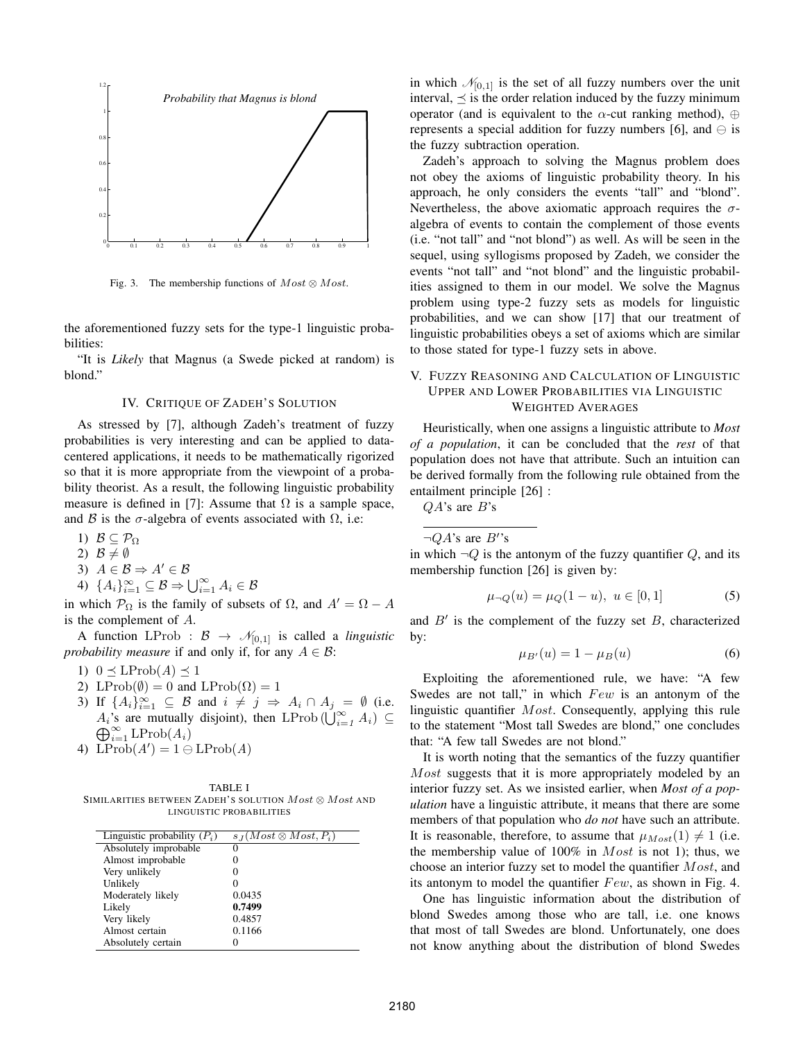

Fig. 3. The membership functions of  $Most \otimes Most$ .

the aforementioned fuzzy sets for the type-1 linguistic probabilities:

"It is *Likely* that Magnus (a Swede picked at random) is blond."

### IV. CRITIQUE OF ZADEH'S SOLUTION

As stressed by [7], although Zadeh's treatment of fuzzy probabilities is very interesting and can be applied to datacentered applications, it needs to be mathematically rigorized so that it is more appropriate from the viewpoint of a probability theorist. As a result, the following linguistic probability measure is defined in [7]: Assume that  $\Omega$  is a sample space, and B is the  $\sigma$ -algebra of events associated with  $\Omega$ , i.e:

1)  $\mathcal{B} \subseteq \mathcal{P}_{\Omega}$ 

2)  $\mathcal{B} \neq \emptyset$ 

$$
3) A \in \mathcal{B} \Rightarrow A' \in \mathcal{B}
$$

4) 
$$
\{A_i\}_{i=1}^{\infty} \subseteq \mathcal{B} \Rightarrow \bigcup_{i=1}^{\infty} A_i \in \mathcal{B}
$$

in which  $\mathcal{P}_{\Omega}$  is the family of subsets of  $\Omega$ , and  $A' = \Omega - A$ is the complement of  $A$ .

A function LProb :  $\mathcal{B} \to \mathcal{N}_{[0,1]}$  is called a *linguistic probability measure* if and only if, for any  $A \in \mathcal{B}$ :

1)  $0 \leq \text{LProb}(A) \leq 1$ 

- 2) LProb( $\emptyset$ ) = 0 and LProb( $\Omega$ ) = 1
- 3) If  ${A_i}_{i=1}^{\infty} \subseteq \mathcal{B}$  and  $i \neq j \Rightarrow A_i \cap A_j = \emptyset$  (i.e.  $A_i$ 's are mutually disjoint), then LProb ( $\bigcup_{i=1}^{\infty} A_i$ ) ⊆  $\bigoplus_{i=1}^{\infty} A_i$ ) and  $\bigoplus_{i=1}^{\infty} A_i$  $\bigoplus_{i=1}^{\infty} \mathrm{LProb}(A_i)$
- 4)  $\text{LProb}(A') = 1 \ominus \text{LProb}(A)$

TABLE I SIMILARITIES BETWEEN ZADEH'S SOLUTION  $Most \otimes Most$  and LINGUISTIC PROBABILITIES

| Linguistic probability $(P_i)$ | $s_I(Most \otimes Most, P_i)$ |
|--------------------------------|-------------------------------|
| Absolutely improbable          | 0                             |
| Almost improbable              |                               |
| Very unlikely                  |                               |
| Unlikely                       |                               |
| Moderately likely              | 0.0435                        |
| Likely                         | 0.7499                        |
| Very likely                    | 0.4857                        |
| Almost certain                 | 0.1166                        |
| Absolutely certain             |                               |
|                                |                               |

in which  $\mathcal{N}_{[0,1]}$  is the set of all fuzzy numbers over the unit interval,  $\preceq$  is the order relation induced by the fuzzy minimum operator (and is equivalent to the  $\alpha$ -cut ranking method), ⊕ represents a special addition for fuzzy numbers [6], and  $\ominus$  is the fuzzy subtraction operation.

Zadeh's approach to solving the Magnus problem does not obey the axioms of linguistic probability theory. In his approach, he only considers the events "tall" and "blond". Nevertheless, the above axiomatic approach requires the  $\sigma$ algebra of events to contain the complement of those events (i.e. "not tall" and "not blond") as well. As will be seen in the sequel, using syllogisms proposed by Zadeh, we consider the events "not tall" and "not blond" and the linguistic probabilities assigned to them in our model. We solve the Magnus problem using type-2 fuzzy sets as models for linguistic probabilities, and we can show [17] that our treatment of linguistic probabilities obeys a set of axioms which are similar to those stated for type-1 fuzzy sets in above.

# V. FUZZY REASONING AND CALCULATION OF LINGUISTIC UPPER AND LOWER PROBABILITIES VIA LINGUISTIC WEIGHTED AVERAGES

Heuristically, when one assigns a linguistic attribute to *Most of a population*, it can be concluded that the *rest* of that population does not have that attribute. Such an intuition can be derived formally from the following rule obtained from the entailment principle [26] :

 $QA$ 's are  $B$ 's

 $\neg QA$ 's are  $B$ ''s

in which  $\neg Q$  is the antonym of the fuzzy quantifier  $Q$ , and its membership function [26] is given by:

$$
\mu_{\neg Q}(u) = \mu_Q(1 - u), \ u \in [0, 1] \tag{5}
$$

and  $B'$  is the complement of the fuzzy set  $B$ , characterized by:

$$
\mu_{B'}(u) = 1 - \mu_B(u) \tag{6}
$$

Exploiting the aforementioned rule, we have: "A few Swedes are not tall," in which  $Few$  is an antonym of the linguistic quantifier  $Most$ . Consequently, applying this rule to the statement "Most tall Swedes are blond," one concludes that: "A few tall Swedes are not blond."

It is worth noting that the semantics of the fuzzy quantifier  $Most$  suggests that it is more appropriately modeled by an interior fuzzy set. As we insisted earlier, when *Most of a population* have a linguistic attribute, it means that there are some members of that population who *do not* have such an attribute. It is reasonable, therefore, to assume that  $\mu_{Most}(1) \neq 1$  (i.e. the membership value of  $100\%$  in  $Most$  is not 1); thus, we choose an interior fuzzy set to model the quantifier  $Most$ , and its antonym to model the quantifier  $Few$ , as shown in Fig. 4.

One has linguistic information about the distribution of blond Swedes among those who are tall, i.e. one knows that most of tall Swedes are blond. Unfortunately, one does not know anything about the distribution of blond Swedes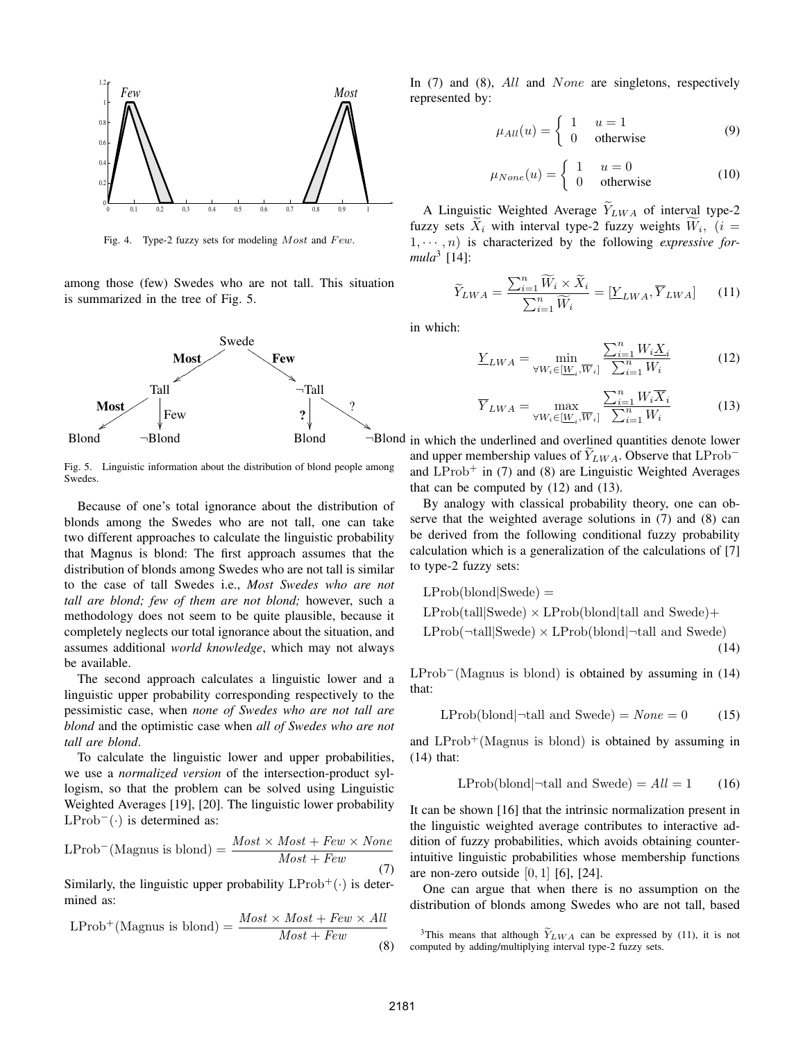

Fig. 4. Type-2 fuzzy sets for modeling  $Most$  and  $Few$ .

among those (few) Swedes who are not tall. This situation is summarized in the tree of Fig. 5.



Fig. 5. Linguistic information about the distribution of blond people among Swedes.

Because of one's total ignorance about the distribution of blonds among the Swedes who are not tall, one can take two different approaches to calculate the linguistic probability that Magnus is blond: The first approach assumes that the distribution of blonds among Swedes who are not tall is similar to the case of tall Swedes i.e., *Most Swedes who are not tall are blond; few of them are not blond;* however, such a methodology does not seem to be quite plausible, because it completely neglects our total ignorance about the situation, and assumes additional *world knowledge*, which may not always be available.

The second approach calculates a linguistic lower and a linguistic upper probability corresponding respectively to the pessimistic case, when *none of Swedes who are not tall are blond* and the optimistic case when *all of Swedes who are not tall are blond*.

To calculate the linguistic lower and upper probabilities, we use a *normalized version* of the intersection-product syllogism, so that the problem can be solved using Linguistic Weighted Averages [19], [20]. The linguistic lower probability  $LProb^{-}(\cdot)$  is determined as:

$$
LProb^{-}(Magnus \text{ is blond}) = \frac{Most \times Most + Few \times None}{Most + Few} \tag{7}
$$

Similarly, the linguistic upper probability  $LProb^+(\cdot)$  is determined as:

$$
LProb^{+}(\text{Magnus is blond}) = \frac{Most \times Most + Few \times All}{Most + Few} \tag{8}
$$

In  $(7)$  and  $(8)$ , All and None are singletons, respectively represented by:

$$
\mu_{All}(u) = \begin{cases} 1 & u = 1 \\ 0 & \text{otherwise} \end{cases}
$$
 (9)

$$
\mu_{None}(u) = \begin{cases} 1 & u = 0 \\ 0 & \text{otherwise} \end{cases}
$$
 (10)

A Linguistic Weighted Average  $\widetilde{Y}_{LWA}$  of interval type-2 fuzzy sets  $X_i$  with interval type-2 fuzzy weights  $W_i$ ,  $(i =$ 1,  $\cdots$ , *n*) is characterized by the following *expressive formula*<sup>3</sup> [14]:

$$
\widetilde{Y}_{LWA} = \frac{\sum_{i=1}^{n} \widetilde{W}_i \times \widetilde{X}_i}{\sum_{i=1}^{n} \widetilde{W}_i} = [\underline{Y}_{LWA}, \overline{Y}_{LWA}] \qquad (11)
$$

in which:

$$
\underline{Y}_{LWA} = \min_{\forall W_i \in [\underline{W}_i, \overline{W}_i]} \frac{\sum_{i=1}^n W_i \underline{X}_i}{\sum_{i=1}^n W_i}
$$
(12)

$$
\overline{Y}_{LWA} = \max_{\forall W_i \in [\underline{W}_i, \overline{W}_i]} \frac{\sum_{i=1}^n W_i \overline{X}_i}{\sum_{i=1}^n W_i}
$$
(13)

Blond  $\neg$ Blond Blond  $\neg$ Blond  $\neg$ Blond in which the underlined and overlined quantities denote lower and upper membership values of  $\widetilde{Y}_{LWA}$ . Observe that LProb<sup>-</sup> and  $LProb<sup>+</sup>$  in (7) and (8) are Linguistic Weighted Averages that can be computed by (12) and (13).

> By analogy with classical probability theory, one can observe that the weighted average solutions in (7) and (8) can be derived from the following conditional fuzzy probability calculation which is a generalization of the calculations of [7] to type-2 fuzzy sets:

$$
LProb(blond|Swede) =
$$
\n
$$
LProb(tall|Swede) \times LProb(blond|tall and Swede) +
$$
\n
$$
LProb(\neg tall|Swede) \times LProb(blond|\neg tall and Swede)
$$
\n(14)

LProb−(Magnus is blond) is obtained by assuming in (14) that:

$$
L\text{Prob}(blond | \neg \text{tall and Swede}) = \text{None} = 0 \tag{15}
$$

and  $LProb^+(Magnus)$  is obtained by assuming in (14) that:

$$
L\text{Prob}(blond | \neg \text{tall and Swede}) = All = 1 \qquad (16)
$$

It can be shown [16] that the intrinsic normalization present in the linguistic weighted average contributes to interactive addition of fuzzy probabilities, which avoids obtaining counterintuitive linguistic probabilities whose membership functions are non-zero outside  $[0, 1]$   $[6]$ ,  $[24]$ .

One can argue that when there is no assumption on the distribution of blonds among Swedes who are not tall, based E fion-zero outside [0, 1] [0], [24].<br>One can argue that when there is no assumption on the stribution of blonds among Swedes who are not tall, based<br><sup>3</sup>This means that although  $\tilde{Y}_{LWA}$  can be expressed by (11), it is

computed by adding/multiplying interval type-2 fuzzy sets.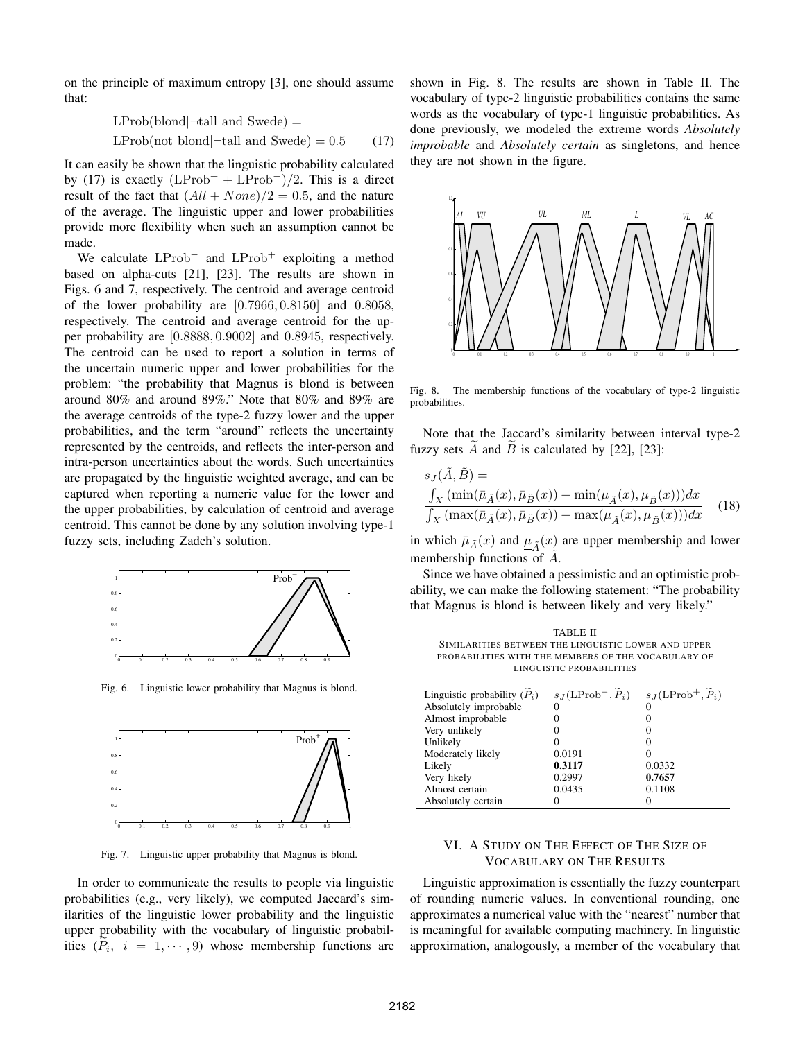on the principle of maximum entropy [3], one should assume that:

$$
L\text{Prob}(\text{blond}|\neg \text{tall and Swede}) =
$$
  

$$
\text{L\text{Prob}(\text{not blond}|\neg \text{tall and Swede})} = 0.5 \tag{17}
$$

It can easily be shown that the linguistic probability calculated by (17) is exactly  $(LProb<sup>+</sup> + LProb<sup>-</sup>)/2$ . This is a direct result of the fact that  $( All + None)/2 = 0.5$ , and the nature of the average. The linguistic upper and lower probabilities provide more flexibility when such an assumption cannot be made.

We calculate  $LProb^-$  and  $LProb^+$  exploiting a method based on alpha-cuts [21], [23]. The results are shown in Figs. 6 and 7, respectively. The centroid and average centroid of the lower probability are [0.7966, 0.8150] and 0.8058, respectively. The centroid and average centroid for the upper probability are [0.8888, 0.9002] and 0.8945, respectively. The centroid can be used to report a solution in terms of the uncertain numeric upper and lower probabilities for the problem: "the probability that Magnus is blond is between around 80% and around 89%." Note that 80% and 89% are the average centroids of the type-2 fuzzy lower and the upper probabilities, and the term "around" reflects the uncertainty represented by the centroids, and reflects the inter-person and intra-person uncertainties about the words. Such uncertainties are propagated by the linguistic weighted average, and can be captured when reporting a numeric value for the lower and the upper probabilities, by calculation of centroid and average centroid. This cannot be done by any solution involving type-1 fuzzy sets, including Zadeh's solution.



Fig. 6. Linguistic lower probability that Magnus is blond.



Fig. 7. Linguistic upper probability that Magnus is blond.

In order to communicate the results to people via linguistic probabilities (e.g., very likely), we computed Jaccard's similarities of the linguistic lower probability and the linguistic upper probability with the vocabulary of linguistic probabilities  $(P_i, i = 1, \dots, 9)$  whose membership functions are shown in Fig. 8. The results are shown in Table II. The vocabulary of type-2 linguistic probabilities contains the same words as the vocabulary of type-1 linguistic probabilities. As done previously, we modeled the extreme words *Absolutely improbable* and *Absolutely certain* as singletons, and hence they are not shown in the figure.



Fig. 8. The membership functions of the vocabulary of type-2 linguistic probabilities.

Note that the Jaccard's similarity between interval type-2 fuzzy sets A and B is calculated by  $[22]$ ,  $[23]$ :

$$
s_J(\tilde{A}, \tilde{B}) =
$$
  
\n
$$
\frac{\int_X (\min(\bar{\mu}_{\tilde{A}}(x), \bar{\mu}_{\tilde{B}}(x)) + \min(\underline{\mu}_{\tilde{A}}(x), \underline{\mu}_{\tilde{B}}(x))) dx}{\int_X (\max(\bar{\mu}_{\tilde{A}}(x), \bar{\mu}_{\tilde{B}}(x)) + \max(\underline{\mu}_{\tilde{A}}(x), \underline{\mu}_{\tilde{B}}(x))) dx}
$$
(18)

in which  $\bar{\mu}_{\tilde{A}}(x)$  and  $\mu_{\tilde{A}}(x)$  are upper membership and lower membership functions of  $\overline{A}$ .

Since we have obtained a pessimistic and an optimistic probability, we can make the following statement: "The probability that Magnus is blond is between likely and very likely."

TABLE II SIMILARITIES BETWEEN THE LINGUISTIC LOWER AND UPPER<br>
PROBABILITIES WITH THE MEMBERS OF THE VOCABULARY OF<br>
LINGUISTIC PROBABILITIES<br>
Linguistic probability ( $\widetilde{P}_i$ )  $s_J(\text{LProb}^-, \widetilde{P}_i)$   $s_J(\text{LProb}^+, \widetilde{P}_i)$ PROBABILITIES WITH THE MEMBERS OF THE VOCABULARY OF LINGUISTIC PROBABILITIES

| Linguistic probability $(P_i)$ | $s_J(\text{LProb}^-, P_i)$ | $s_I(LProb^+, P_i)$ |
|--------------------------------|----------------------------|---------------------|
| Absolutely improbable          |                            |                     |
| Almost improbable              |                            |                     |
| Very unlikely                  |                            |                     |
| Unlikely                       |                            |                     |
| Moderately likely              | 0.0191                     |                     |
| Likely                         | 0.3117                     | 0.0332              |
| Very likely                    | 0.2997                     | 0.7657              |
| Almost certain                 | 0.0435                     | 0.1108              |
| Absolutely certain             |                            |                     |
|                                |                            |                     |

# VI. A STUDY ON THE EFFECT OF THE SIZE OF VOCABULARY ON THE RESULTS

Linguistic approximation is essentially the fuzzy counterpart of rounding numeric values. In conventional rounding, one approximates a numerical value with the "nearest" number that is meaningful for available computing machinery. In linguistic approximation, analogously, a member of the vocabulary that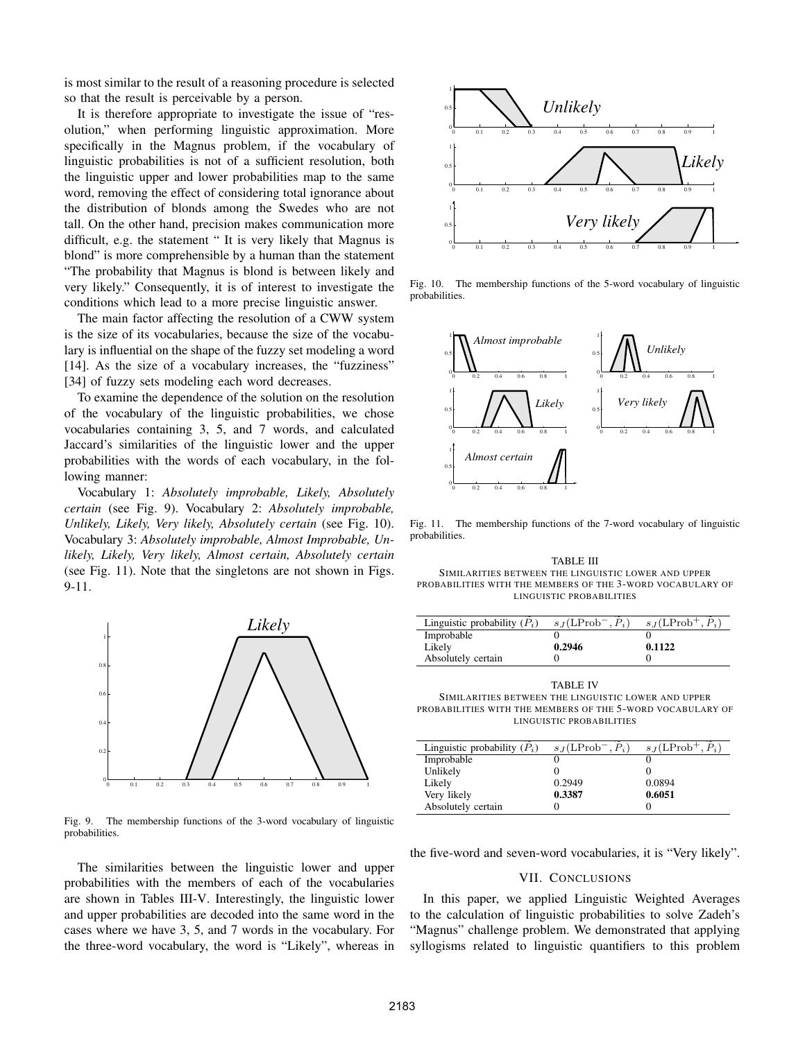is most similar to the result of a reasoning procedure is selected so that the result is perceivable by a person.

It is therefore appropriate to investigate the issue of "resolution," when performing linguistic approximation. More specifically in the Magnus problem, if the vocabulary of linguistic probabilities is not of a sufficient resolution, both the linguistic upper and lower probabilities map to the same word, removing the effect of considering total ignorance about the distribution of blonds among the Swedes who are not tall. On the other hand, precision makes communication more difficult, e.g. the statement " It is very likely that Magnus is blond" is more comprehensible by a human than the statement "The probability that Magnus is blond is between likely and very likely." Consequently, it is of interest to investigate the conditions which lead to a more precise linguistic answer.

The main factor affecting the resolution of a CWW system is the size of its vocabularies, because the size of the vocabulary is influential on the shape of the fuzzy set modeling a word [14]. As the size of a vocabulary increases, the "fuzziness" [34] of fuzzy sets modeling each word decreases.

To examine the dependence of the solution on the resolution of the vocabulary of the linguistic probabilities, we chose vocabularies containing 3, 5, and 7 words, and calculated Jaccard's similarities of the linguistic lower and the upper probabilities with the words of each vocabulary, in the following manner:

Vocabulary 1: *Absolutely improbable, Likely, Absolutely certain* (see Fig. 9). Vocabulary 2: *Absolutely improbable, Unlikely, Likely, Very likely, Absolutely certain* (see Fig. 10). Vocabulary 3: *Absolutely improbable, Almost Improbable, Unlikely, Likely, Very likely, Almost certain, Absolutely certain* (see Fig. 11). Note that the singletons are not shown in Figs. 9-11.



Fig. 9. The membership functions of the 3-word vocabulary of linguistic probabilities.

The similarities between the linguistic lower and upper probabilities with the members of each of the vocabularies are shown in Tables III-V. Interestingly, the linguistic lower and upper probabilities are decoded into the same word in the cases where we have 3, 5, and 7 words in the vocabulary. For the three-word vocabulary, the word is "Likely", whereas in



Fig. 10. The membership functions of the 5-word vocabulary of linguistic probabilities.



Fig. 11. The membership functions of the 7-word vocabulary of linguistic probabilities.

TABLE III SIMILARITIES BETWEEN THE LINGUISTIC LOWER AND UPPER<br>ROBABILITIES WITH THE MEMBERS OF THE 3-WORD VOCABULARY<br>LINGUISTIC PROBABILITIES<br>Linguistic probability ( $\widetilde{P}_i$ )  $s_J(\text{LProb}^-, \widetilde{P}_i)$   $s_J(\text{LProb}^+, \widetilde{P}_i)$ PROBABILITIES WITH THE MEMBERS OF THE 3-WORD VOCABULARY OF LINGUISTIC PROBABILITIES

| Linguistic probability $(P_i)$ | $s_J(LProb^-, P_i)$ | $s_J(LProb^+, P_i)$ |
|--------------------------------|---------------------|---------------------|
| Improbable                     |                     |                     |
| Likely                         | 0.2946              | 0.1122              |
| Absolutely certain             |                     |                     |

TABLE IV SIMILARITIES BETWEEN THE LINGUISTIC LOWER AND UPPER PROBABILITIES WITH THE MEMBERS OF THE 5-WORD VOCABULARY OF LINGUISTIC PROBABILITIES SIMILARITIES BETWEEN THE LINGUISTIC LOWER AND UPPER<br>
ROBABILITIES WITH THE MEMBERS OF THE 5-WORD VOCABULARY<br>
LINGUISTIC PROBABILITIES<br>
Linguistic probability ( $\widetilde{P}_i$ )  $s_J(\text{LProb}^-, \widetilde{P}_i)$   $s_J(\text{LProb}^+, \widetilde{P}_i)$ 

| Linguistic probability $(P_i)$ | $s_I(LProb^-, P_i)$ | $s_J(\text{LProb}^+, P_i)$ |
|--------------------------------|---------------------|----------------------------|
| Improbable                     |                     |                            |
| Unlikely                       |                     |                            |
| Likely                         | 0.2949              | 0.0894                     |
| Very likely                    | 0.3387              | 0.6051                     |
| Absolutely certain             |                     |                            |

the five-word and seven-word vocabularies, it is "Very likely".

## VII. CONCLUSIONS

In this paper, we applied Linguistic Weighted Averages to the calculation of linguistic probabilities to solve Zadeh's "Magnus" challenge problem. We demonstrated that applying syllogisms related to linguistic quantifiers to this problem